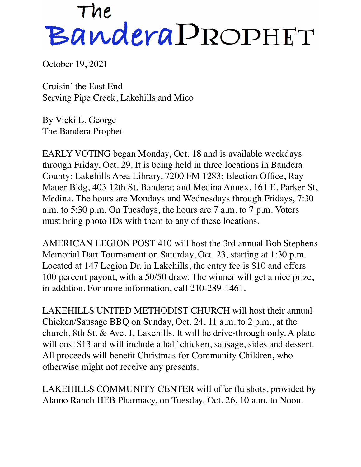## The<br>Bandera PROPHET

October 19, 2021

Cruisin' the East End Serving Pipe Creek, Lakehills and Mico

By Vicki L. George The Bandera Prophet

EARLY VOTING began Monday, Oct. 18 and is available weekdays through Friday, Oct. 29. It is being held in three locations in Bandera County: Lakehills Area Library, 7200 FM 1283; Election Office, Ray Mauer Bldg, 403 12th St, Bandera; and Medina Annex, 161 E. Parker St, Medina. The hours are Mondays and Wednesdays through Fridays, 7:30 a.m. to 5:30 p.m. On Tuesdays, the hours are 7 a.m. to 7 p.m. Voters must bring photo IDs with them to any of these locations.

AMERICAN LEGION POST 410 will host the 3rd annual Bob Stephens Memorial Dart Tournament on Saturday, Oct. 23, starting at 1:30 p.m. Located at 147 Legion Dr. in Lakehills, the entry fee is \$10 and offers 100 percent payout, with a 50/50 draw. The winner will get a nice prize, in addition. For more information, call 210-289-1461.

LAKEHILLS UNITED METHODIST CHURCH will host their annual Chicken/Sausage BBQ on Sunday, Oct. 24, 11 a.m. to 2 p.m., at the church, 8th St. & Ave. J, Lakehills. It will be drive-through only. A plate will cost \$13 and will include a half chicken, sausage, sides and dessert. All proceeds will benefit Christmas for Community Children, who otherwise might not receive any presents.

LAKEHILLS COMMUNITY CENTER will offer flu shots, provided by Alamo Ranch HEB Pharmacy, on Tuesday, Oct. 26, 10 a.m. to Noon.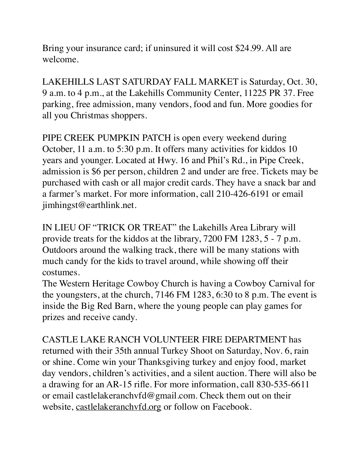Bring your insurance card; if uninsured it will cost \$24.99. All are welcome.

LAKEHILLS LAST SATURDAY FALL MARKET is Saturday, Oct. 30, 9 a.m. to 4 p.m., at the Lakehills Community Center, 11225 PR 37. Free parking, free admission, many vendors, food and fun. More goodies for all you Christmas shoppers.

PIPE CREEK PUMPKIN PATCH is open every weekend during October, 11 a.m. to 5:30 p.m. It offers many activities for kiddos 10 years and younger. Located at Hwy. 16 and Phil's Rd., in Pipe Creek, admission is \$6 per person, children 2 and under are free. Tickets may be purchased with cash or all major credit cards. They have a snack bar and a farmer's market. For more information, call 210-426-6191 or email jimhingst@earthlink.net.

IN LIEU OF "TRICK OR TREAT" the Lakehills Area Library will provide treats for the kiddos at the library, 7200 FM 1283, 5 - 7 p.m. Outdoors around the walking track, there will be many stations with much candy for the kids to travel around, while showing off their costumes.

The Western Heritage Cowboy Church is having a Cowboy Carnival for the youngsters, at the church, 7146 FM 1283, 6:30 to 8 p.m. The event is inside the Big Red Barn, where the young people can play games for prizes and receive candy.

CASTLE LAKE RANCH VOLUNTEER FIRE DEPARTMENT has returned with their 35th annual Turkey Shoot on Saturday, Nov. 6, rain or shine. Come win your Thanksgiving turkey and enjoy food, market day vendors, children's activities, and a silent auction. There will also be a drawing for an AR-15 rifle. For more information, call 830-535-6611 or email castlelakeranchvfd@gmail.com. Check them out on their website, [castlelakeranchvfd.org](http://castlelakeranchvfd.org) or follow on Facebook.